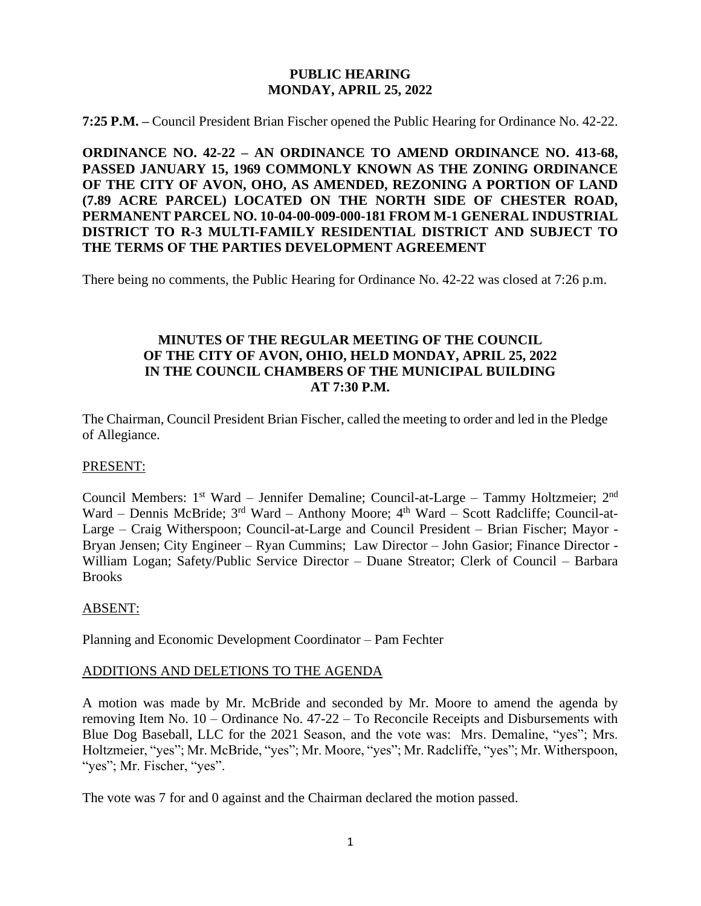#### **PUBLIC HEARING MONDAY, APRIL 25, 2022**

**7:25 P.M. –** Council President Brian Fischer opened the Public Hearing for Ordinance No. 42-22.

**ORDINANCE NO. 42-22 – AN ORDINANCE TO AMEND ORDINANCE NO. 413-68, PASSED JANUARY 15, 1969 COMMONLY KNOWN AS THE ZONING ORDINANCE OF THE CITY OF AVON, OHO, AS AMENDED, REZONING A PORTION OF LAND (7.89 ACRE PARCEL) LOCATED ON THE NORTH SIDE OF CHESTER ROAD, PERMANENT PARCEL NO. 10-04-00-009-000-181 FROM M-1 GENERAL INDUSTRIAL DISTRICT TO R-3 MULTI-FAMILY RESIDENTIAL DISTRICT AND SUBJECT TO THE TERMS OF THE PARTIES DEVELOPMENT AGREEMENT**

There being no comments, the Public Hearing for Ordinance No. 42-22 was closed at 7:26 p.m.

## **MINUTES OF THE REGULAR MEETING OF THE COUNCIL OF THE CITY OF AVON, OHIO, HELD MONDAY, APRIL 25, 2022 IN THE COUNCIL CHAMBERS OF THE MUNICIPAL BUILDING AT 7:30 P.M.**

The Chairman, Council President Brian Fischer, called the meeting to order and led in the Pledge of Allegiance.

#### PRESENT:

Council Members: 1<sup>st</sup> Ward - Jennifer Demaline; Council-at-Large - Tammy Holtzmeier; 2<sup>nd</sup> Ward – Dennis McBride; 3<sup>rd</sup> Ward – Anthony Moore; 4<sup>th</sup> Ward – Scott Radcliffe; Council-at-Large – Craig Witherspoon; Council-at-Large and Council President – Brian Fischer; Mayor - Bryan Jensen; City Engineer – Ryan Cummins; Law Director – John Gasior; Finance Director - William Logan; Safety/Public Service Director – Duane Streator; Clerk of Council – Barbara **Brooks** 

#### ABSENT:

Planning and Economic Development Coordinator – Pam Fechter

#### ADDITIONS AND DELETIONS TO THE AGENDA

A motion was made by Mr. McBride and seconded by Mr. Moore to amend the agenda by removing Item No. 10 – Ordinance No. 47-22 – To Reconcile Receipts and Disbursements with Blue Dog Baseball, LLC for the 2021 Season, and the vote was: Mrs. Demaline, "yes"; Mrs. Holtzmeier, "yes"; Mr. McBride, "yes"; Mr. Moore, "yes"; Mr. Radcliffe, "yes"; Mr. Witherspoon, "yes"; Mr. Fischer, "yes".

The vote was 7 for and 0 against and the Chairman declared the motion passed.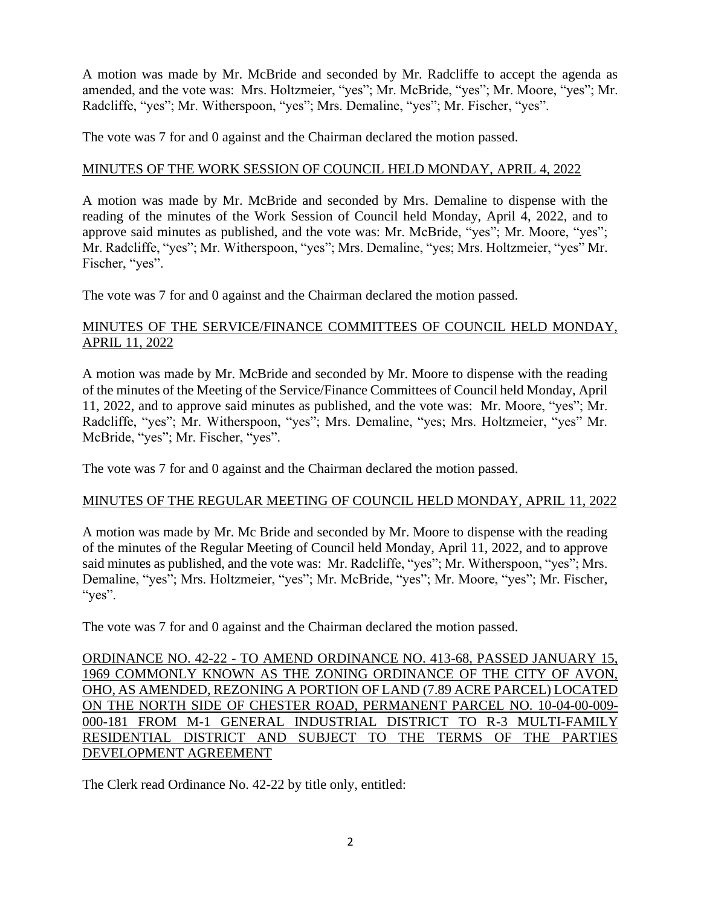A motion was made by Mr. McBride and seconded by Mr. Radcliffe to accept the agenda as amended, and the vote was: Mrs. Holtzmeier, "yes"; Mr. McBride, "yes"; Mr. Moore, "yes"; Mr. Radcliffe, "yes"; Mr. Witherspoon, "yes"; Mrs. Demaline, "yes"; Mr. Fischer, "yes".

The vote was 7 for and 0 against and the Chairman declared the motion passed.

## MINUTES OF THE WORK SESSION OF COUNCIL HELD MONDAY, APRIL 4, 2022

A motion was made by Mr. McBride and seconded by Mrs. Demaline to dispense with the reading of the minutes of the Work Session of Council held Monday, April 4, 2022, and to approve said minutes as published, and the vote was: Mr. McBride, "yes"; Mr. Moore, "yes"; Mr. Radcliffe, "yes"; Mr. Witherspoon, "yes"; Mrs. Demaline, "yes; Mrs. Holtzmeier, "yes" Mr. Fischer, "yes".

The vote was 7 for and 0 against and the Chairman declared the motion passed.

## MINUTES OF THE SERVICE/FINANCE COMMITTEES OF COUNCIL HELD MONDAY, APRIL 11, 2022

A motion was made by Mr. McBride and seconded by Mr. Moore to dispense with the reading of the minutes of the Meeting of the Service/Finance Committees of Council held Monday, April 11, 2022, and to approve said minutes as published, and the vote was: Mr. Moore, "yes"; Mr. Radcliffe, "yes"; Mr. Witherspoon, "yes"; Mrs. Demaline, "yes; Mrs. Holtzmeier, "yes" Mr. McBride, "yes"; Mr. Fischer, "yes".

The vote was 7 for and 0 against and the Chairman declared the motion passed.

# MINUTES OF THE REGULAR MEETING OF COUNCIL HELD MONDAY, APRIL 11, 2022

A motion was made by Mr. Mc Bride and seconded by Mr. Moore to dispense with the reading of the minutes of the Regular Meeting of Council held Monday, April 11, 2022, and to approve said minutes as published, and the vote was: Mr. Radcliffe, "yes"; Mr. Witherspoon, "yes"; Mrs. Demaline, "yes"; Mrs. Holtzmeier, "yes"; Mr. McBride, "yes"; Mr. Moore, "yes"; Mr. Fischer, "yes".

The vote was 7 for and 0 against and the Chairman declared the motion passed.

ORDINANCE NO. 42-22 - TO AMEND ORDINANCE NO. 413-68, PASSED JANUARY 15, 1969 COMMONLY KNOWN AS THE ZONING ORDINANCE OF THE CITY OF AVON, OHO, AS AMENDED, REZONING A PORTION OF LAND (7.89 ACRE PARCEL) LOCATED ON THE NORTH SIDE OF CHESTER ROAD, PERMANENT PARCEL NO. 10-04-00-009- 000-181 FROM M-1 GENERAL INDUSTRIAL DISTRICT TO R-3 MULTI-FAMILY RESIDENTIAL DISTRICT AND SUBJECT TO THE TERMS OF THE PARTIES DEVELOPMENT AGREEMENT

The Clerk read Ordinance No. 42-22 by title only, entitled: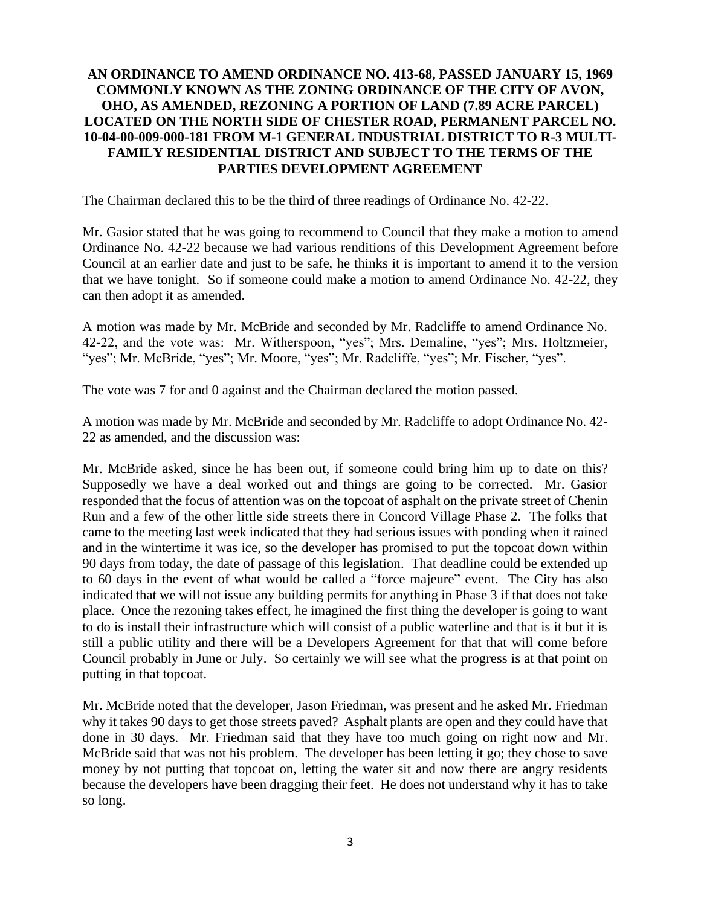## **AN ORDINANCE TO AMEND ORDINANCE NO. 413-68, PASSED JANUARY 15, 1969 COMMONLY KNOWN AS THE ZONING ORDINANCE OF THE CITY OF AVON, OHO, AS AMENDED, REZONING A PORTION OF LAND (7.89 ACRE PARCEL) LOCATED ON THE NORTH SIDE OF CHESTER ROAD, PERMANENT PARCEL NO. 10-04-00-009-000-181 FROM M-1 GENERAL INDUSTRIAL DISTRICT TO R-3 MULTI-FAMILY RESIDENTIAL DISTRICT AND SUBJECT TO THE TERMS OF THE PARTIES DEVELOPMENT AGREEMENT**

The Chairman declared this to be the third of three readings of Ordinance No. 42-22.

Mr. Gasior stated that he was going to recommend to Council that they make a motion to amend Ordinance No. 42-22 because we had various renditions of this Development Agreement before Council at an earlier date and just to be safe, he thinks it is important to amend it to the version that we have tonight. So if someone could make a motion to amend Ordinance No. 42-22, they can then adopt it as amended.

A motion was made by Mr. McBride and seconded by Mr. Radcliffe to amend Ordinance No. 42-22, and the vote was: Mr. Witherspoon, "yes"; Mrs. Demaline, "yes"; Mrs. Holtzmeier, "yes"; Mr. McBride, "yes"; Mr. Moore, "yes"; Mr. Radcliffe, "yes"; Mr. Fischer, "yes".

The vote was 7 for and 0 against and the Chairman declared the motion passed.

A motion was made by Mr. McBride and seconded by Mr. Radcliffe to adopt Ordinance No. 42- 22 as amended, and the discussion was:

Mr. McBride asked, since he has been out, if someone could bring him up to date on this? Supposedly we have a deal worked out and things are going to be corrected. Mr. Gasior responded that the focus of attention was on the topcoat of asphalt on the private street of Chenin Run and a few of the other little side streets there in Concord Village Phase 2. The folks that came to the meeting last week indicated that they had serious issues with ponding when it rained and in the wintertime it was ice, so the developer has promised to put the topcoat down within 90 days from today, the date of passage of this legislation. That deadline could be extended up to 60 days in the event of what would be called a "force majeure" event. The City has also indicated that we will not issue any building permits for anything in Phase 3 if that does not take place. Once the rezoning takes effect, he imagined the first thing the developer is going to want to do is install their infrastructure which will consist of a public waterline and that is it but it is still a public utility and there will be a Developers Agreement for that that will come before Council probably in June or July. So certainly we will see what the progress is at that point on putting in that topcoat.

Mr. McBride noted that the developer, Jason Friedman, was present and he asked Mr. Friedman why it takes 90 days to get those streets paved? Asphalt plants are open and they could have that done in 30 days. Mr. Friedman said that they have too much going on right now and Mr. McBride said that was not his problem. The developer has been letting it go; they chose to save money by not putting that topcoat on, letting the water sit and now there are angry residents because the developers have been dragging their feet. He does not understand why it has to take so long.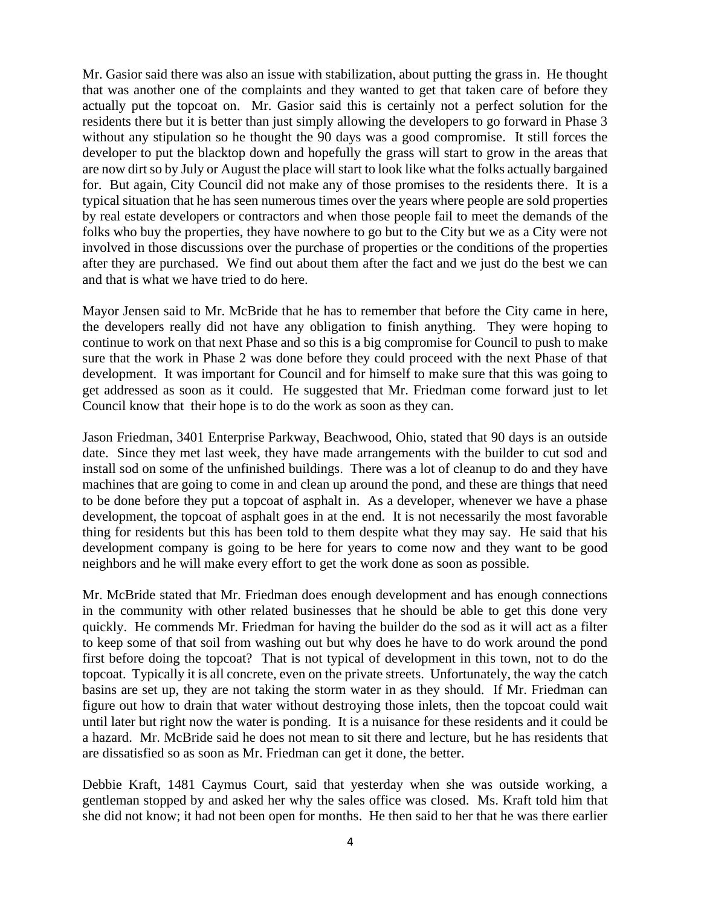Mr. Gasior said there was also an issue with stabilization, about putting the grass in. He thought that was another one of the complaints and they wanted to get that taken care of before they actually put the topcoat on. Mr. Gasior said this is certainly not a perfect solution for the residents there but it is better than just simply allowing the developers to go forward in Phase 3 without any stipulation so he thought the 90 days was a good compromise. It still forces the developer to put the blacktop down and hopefully the grass will start to grow in the areas that are now dirt so by July or August the place will start to look like what the folks actually bargained for. But again, City Council did not make any of those promises to the residents there. It is a typical situation that he has seen numerous times over the years where people are sold properties by real estate developers or contractors and when those people fail to meet the demands of the folks who buy the properties, they have nowhere to go but to the City but we as a City were not involved in those discussions over the purchase of properties or the conditions of the properties after they are purchased. We find out about them after the fact and we just do the best we can and that is what we have tried to do here.

Mayor Jensen said to Mr. McBride that he has to remember that before the City came in here, the developers really did not have any obligation to finish anything. They were hoping to continue to work on that next Phase and so this is a big compromise for Council to push to make sure that the work in Phase 2 was done before they could proceed with the next Phase of that development. It was important for Council and for himself to make sure that this was going to get addressed as soon as it could. He suggested that Mr. Friedman come forward just to let Council know that their hope is to do the work as soon as they can.

Jason Friedman, 3401 Enterprise Parkway, Beachwood, Ohio, stated that 90 days is an outside date. Since they met last week, they have made arrangements with the builder to cut sod and install sod on some of the unfinished buildings. There was a lot of cleanup to do and they have machines that are going to come in and clean up around the pond, and these are things that need to be done before they put a topcoat of asphalt in. As a developer, whenever we have a phase development, the topcoat of asphalt goes in at the end. It is not necessarily the most favorable thing for residents but this has been told to them despite what they may say. He said that his development company is going to be here for years to come now and they want to be good neighbors and he will make every effort to get the work done as soon as possible.

Mr. McBride stated that Mr. Friedman does enough development and has enough connections in the community with other related businesses that he should be able to get this done very quickly. He commends Mr. Friedman for having the builder do the sod as it will act as a filter to keep some of that soil from washing out but why does he have to do work around the pond first before doing the topcoat? That is not typical of development in this town, not to do the topcoat. Typically it is all concrete, even on the private streets. Unfortunately, the way the catch basins are set up, they are not taking the storm water in as they should. If Mr. Friedman can figure out how to drain that water without destroying those inlets, then the topcoat could wait until later but right now the water is ponding. It is a nuisance for these residents and it could be a hazard. Mr. McBride said he does not mean to sit there and lecture, but he has residents that are dissatisfied so as soon as Mr. Friedman can get it done, the better.

Debbie Kraft, 1481 Caymus Court, said that yesterday when she was outside working, a gentleman stopped by and asked her why the sales office was closed. Ms. Kraft told him that she did not know; it had not been open for months. He then said to her that he was there earlier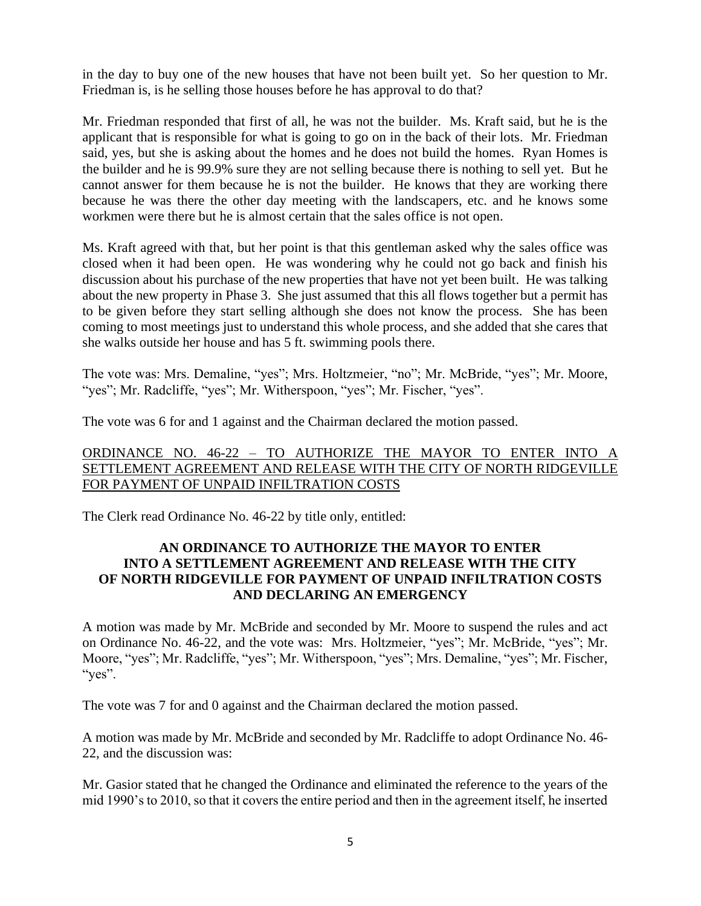in the day to buy one of the new houses that have not been built yet. So her question to Mr. Friedman is, is he selling those houses before he has approval to do that?

Mr. Friedman responded that first of all, he was not the builder. Ms. Kraft said, but he is the applicant that is responsible for what is going to go on in the back of their lots. Mr. Friedman said, yes, but she is asking about the homes and he does not build the homes. Ryan Homes is the builder and he is 99.9% sure they are not selling because there is nothing to sell yet. But he cannot answer for them because he is not the builder. He knows that they are working there because he was there the other day meeting with the landscapers, etc. and he knows some workmen were there but he is almost certain that the sales office is not open.

Ms. Kraft agreed with that, but her point is that this gentleman asked why the sales office was closed when it had been open. He was wondering why he could not go back and finish his discussion about his purchase of the new properties that have not yet been built. He was talking about the new property in Phase 3. She just assumed that this all flows together but a permit has to be given before they start selling although she does not know the process. She has been coming to most meetings just to understand this whole process, and she added that she cares that she walks outside her house and has 5 ft. swimming pools there.

The vote was: Mrs. Demaline, "yes"; Mrs. Holtzmeier, "no"; Mr. McBride, "yes"; Mr. Moore, "yes"; Mr. Radcliffe, "yes"; Mr. Witherspoon, "yes"; Mr. Fischer, "yes".

The vote was 6 for and 1 against and the Chairman declared the motion passed.

## ORDINANCE NO. 46-22 – TO AUTHORIZE THE MAYOR TO ENTER INTO A SETTLEMENT AGREEMENT AND RELEASE WITH THE CITY OF NORTH RIDGEVILLE FOR PAYMENT OF UNPAID INFILTRATION COSTS

The Clerk read Ordinance No. 46-22 by title only, entitled:

## **AN ORDINANCE TO AUTHORIZE THE MAYOR TO ENTER INTO A SETTLEMENT AGREEMENT AND RELEASE WITH THE CITY OF NORTH RIDGEVILLE FOR PAYMENT OF UNPAID INFILTRATION COSTS AND DECLARING AN EMERGENCY**

A motion was made by Mr. McBride and seconded by Mr. Moore to suspend the rules and act on Ordinance No. 46-22, and the vote was: Mrs. Holtzmeier, "yes"; Mr. McBride, "yes"; Mr. Moore, "yes"; Mr. Radcliffe, "yes"; Mr. Witherspoon, "yes"; Mrs. Demaline, "yes"; Mr. Fischer, "yes".

The vote was 7 for and 0 against and the Chairman declared the motion passed.

A motion was made by Mr. McBride and seconded by Mr. Radcliffe to adopt Ordinance No. 46- 22, and the discussion was:

Mr. Gasior stated that he changed the Ordinance and eliminated the reference to the years of the mid 1990's to 2010, so that it covers the entire period and then in the agreement itself, he inserted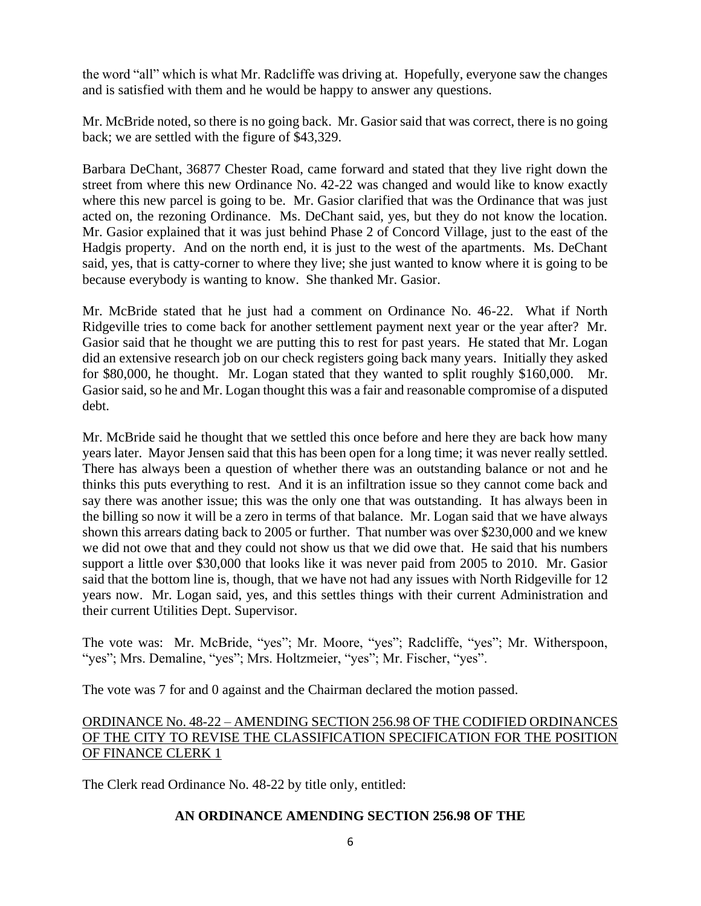the word "all" which is what Mr. Radcliffe was driving at. Hopefully, everyone saw the changes and is satisfied with them and he would be happy to answer any questions.

Mr. McBride noted, so there is no going back. Mr. Gasior said that was correct, there is no going back; we are settled with the figure of \$43,329.

Barbara DeChant, 36877 Chester Road, came forward and stated that they live right down the street from where this new Ordinance No. 42-22 was changed and would like to know exactly where this new parcel is going to be. Mr. Gasior clarified that was the Ordinance that was just acted on, the rezoning Ordinance. Ms. DeChant said, yes, but they do not know the location. Mr. Gasior explained that it was just behind Phase 2 of Concord Village, just to the east of the Hadgis property. And on the north end, it is just to the west of the apartments. Ms. DeChant said, yes, that is catty-corner to where they live; she just wanted to know where it is going to be because everybody is wanting to know. She thanked Mr. Gasior.

Mr. McBride stated that he just had a comment on Ordinance No. 46-22. What if North Ridgeville tries to come back for another settlement payment next year or the year after? Mr. Gasior said that he thought we are putting this to rest for past years. He stated that Mr. Logan did an extensive research job on our check registers going back many years. Initially they asked for \$80,000, he thought. Mr. Logan stated that they wanted to split roughly \$160,000. Mr. Gasior said, so he and Mr. Logan thought this was a fair and reasonable compromise of a disputed debt.

Mr. McBride said he thought that we settled this once before and here they are back how many years later. Mayor Jensen said that this has been open for a long time; it was never really settled. There has always been a question of whether there was an outstanding balance or not and he thinks this puts everything to rest. And it is an infiltration issue so they cannot come back and say there was another issue; this was the only one that was outstanding. It has always been in the billing so now it will be a zero in terms of that balance. Mr. Logan said that we have always shown this arrears dating back to 2005 or further. That number was over \$230,000 and we knew we did not owe that and they could not show us that we did owe that. He said that his numbers support a little over \$30,000 that looks like it was never paid from 2005 to 2010. Mr. Gasior said that the bottom line is, though, that we have not had any issues with North Ridgeville for 12 years now. Mr. Logan said, yes, and this settles things with their current Administration and their current Utilities Dept. Supervisor.

The vote was: Mr. McBride, "yes"; Mr. Moore, "yes"; Radcliffe, "yes"; Mr. Witherspoon, "yes"; Mrs. Demaline, "yes"; Mrs. Holtzmeier, "yes"; Mr. Fischer, "yes".

The vote was 7 for and 0 against and the Chairman declared the motion passed.

## ORDINANCE No. 48-22 – AMENDING SECTION 256.98 OF THE CODIFIED ORDINANCES OF THE CITY TO REVISE THE CLASSIFICATION SPECIFICATION FOR THE POSITION OF FINANCE CLERK 1

The Clerk read Ordinance No. 48-22 by title only, entitled:

# **AN ORDINANCE AMENDING SECTION 256.98 OF THE**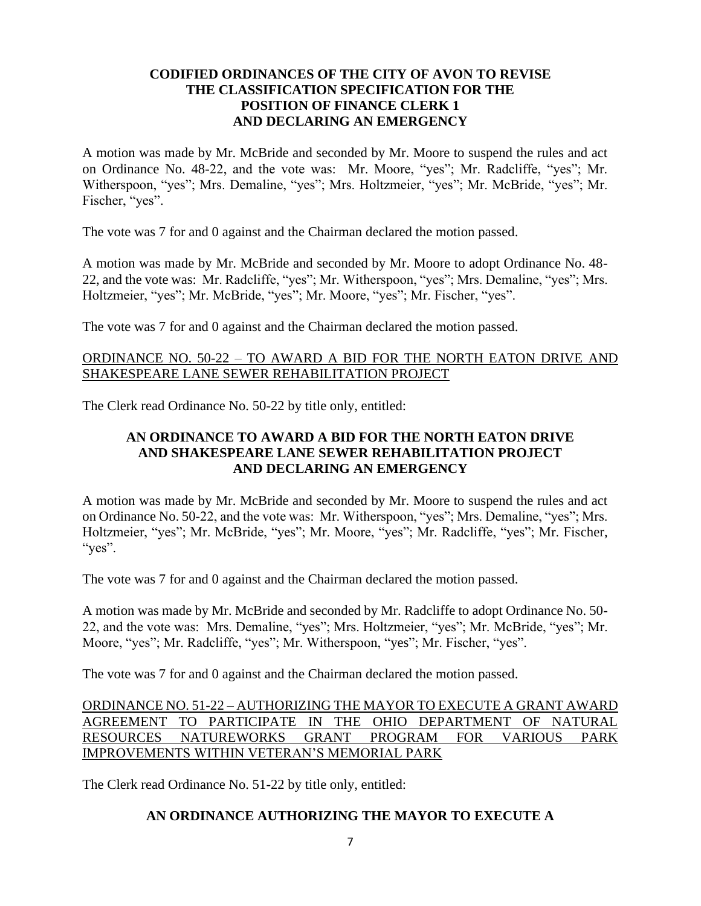## **CODIFIED ORDINANCES OF THE CITY OF AVON TO REVISE THE CLASSIFICATION SPECIFICATION FOR THE POSITION OF FINANCE CLERK 1 AND DECLARING AN EMERGENCY**

A motion was made by Mr. McBride and seconded by Mr. Moore to suspend the rules and act on Ordinance No. 48-22, and the vote was: Mr. Moore, "yes"; Mr. Radcliffe, "yes"; Mr. Witherspoon, "yes"; Mrs. Demaline, "yes"; Mrs. Holtzmeier, "yes"; Mr. McBride, "yes"; Mr. Fischer, "yes".

The vote was 7 for and 0 against and the Chairman declared the motion passed.

A motion was made by Mr. McBride and seconded by Mr. Moore to adopt Ordinance No. 48- 22, and the vote was: Mr. Radcliffe, "yes"; Mr. Witherspoon, "yes"; Mrs. Demaline, "yes"; Mrs. Holtzmeier, "yes"; Mr. McBride, "yes"; Mr. Moore, "yes"; Mr. Fischer, "yes".

The vote was 7 for and 0 against and the Chairman declared the motion passed.

## ORDINANCE NO. 50-22 – TO AWARD A BID FOR THE NORTH EATON DRIVE AND SHAKESPEARE LANE SEWER REHABILITATION PROJECT

The Clerk read Ordinance No. 50-22 by title only, entitled:

## **AN ORDINANCE TO AWARD A BID FOR THE NORTH EATON DRIVE AND SHAKESPEARE LANE SEWER REHABILITATION PROJECT AND DECLARING AN EMERGENCY**

A motion was made by Mr. McBride and seconded by Mr. Moore to suspend the rules and act on Ordinance No. 50-22, and the vote was: Mr. Witherspoon, "yes"; Mrs. Demaline, "yes"; Mrs. Holtzmeier, "yes"; Mr. McBride, "yes"; Mr. Moore, "yes"; Mr. Radcliffe, "yes"; Mr. Fischer, "yes".

The vote was 7 for and 0 against and the Chairman declared the motion passed.

A motion was made by Mr. McBride and seconded by Mr. Radcliffe to adopt Ordinance No. 50- 22, and the vote was: Mrs. Demaline, "yes"; Mrs. Holtzmeier, "yes"; Mr. McBride, "yes"; Mr. Moore, "yes"; Mr. Radcliffe, "yes"; Mr. Witherspoon, "yes"; Mr. Fischer, "yes".

The vote was 7 for and 0 against and the Chairman declared the motion passed.

## ORDINANCE NO. 51-22 – AUTHORIZING THE MAYOR TO EXECUTE A GRANT AWARD AGREEMENT TO PARTICIPATE IN THE OHIO DEPARTMENT OF NATURAL RESOURCES NATUREWORKS GRANT PROGRAM FOR VARIOUS PARK IMPROVEMENTS WITHIN VETERAN'S MEMORIAL PARK

The Clerk read Ordinance No. 51-22 by title only, entitled:

#### **AN ORDINANCE AUTHORIZING THE MAYOR TO EXECUTE A**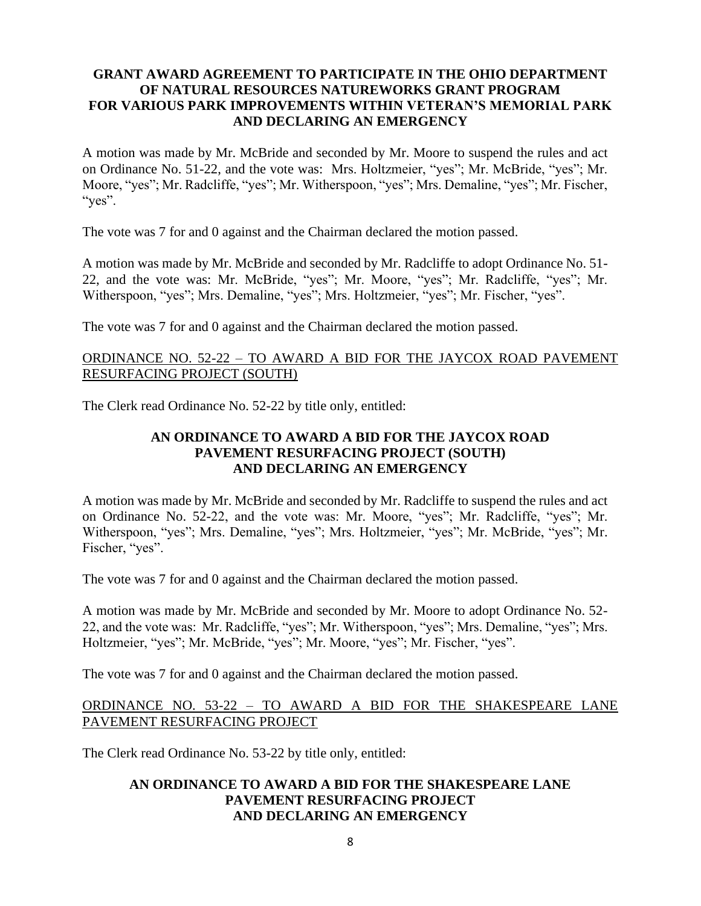## **GRANT AWARD AGREEMENT TO PARTICIPATE IN THE OHIO DEPARTMENT OF NATURAL RESOURCES NATUREWORKS GRANT PROGRAM FOR VARIOUS PARK IMPROVEMENTS WITHIN VETERAN'S MEMORIAL PARK AND DECLARING AN EMERGENCY**

A motion was made by Mr. McBride and seconded by Mr. Moore to suspend the rules and act on Ordinance No. 51-22, and the vote was: Mrs. Holtzmeier, "yes"; Mr. McBride, "yes"; Mr. Moore, "yes"; Mr. Radcliffe, "yes"; Mr. Witherspoon, "yes"; Mrs. Demaline, "yes"; Mr. Fischer, "yes".

The vote was 7 for and 0 against and the Chairman declared the motion passed.

A motion was made by Mr. McBride and seconded by Mr. Radcliffe to adopt Ordinance No. 51- 22, and the vote was: Mr. McBride, "yes"; Mr. Moore, "yes"; Mr. Radcliffe, "yes"; Mr. Witherspoon, "yes"; Mrs. Demaline, "yes"; Mrs. Holtzmeier, "yes"; Mr. Fischer, "yes".

The vote was 7 for and 0 against and the Chairman declared the motion passed.

## ORDINANCE NO. 52-22 – TO AWARD A BID FOR THE JAYCOX ROAD PAVEMENT RESURFACING PROJECT (SOUTH)

The Clerk read Ordinance No. 52-22 by title only, entitled:

# **AN ORDINANCE TO AWARD A BID FOR THE JAYCOX ROAD PAVEMENT RESURFACING PROJECT (SOUTH) AND DECLARING AN EMERGENCY**

A motion was made by Mr. McBride and seconded by Mr. Radcliffe to suspend the rules and act on Ordinance No. 52-22, and the vote was: Mr. Moore, "yes"; Mr. Radcliffe, "yes"; Mr. Witherspoon, "yes"; Mrs. Demaline, "yes"; Mrs. Holtzmeier, "yes"; Mr. McBride, "yes"; Mr. Fischer, "yes".

The vote was 7 for and 0 against and the Chairman declared the motion passed.

A motion was made by Mr. McBride and seconded by Mr. Moore to adopt Ordinance No. 52- 22, and the vote was: Mr. Radcliffe, "yes"; Mr. Witherspoon, "yes"; Mrs. Demaline, "yes"; Mrs. Holtzmeier, "yes"; Mr. McBride, "yes"; Mr. Moore, "yes"; Mr. Fischer, "yes".

The vote was 7 for and 0 against and the Chairman declared the motion passed.

## ORDINANCE NO. 53-22 – TO AWARD A BID FOR THE SHAKESPEARE LANE PAVEMENT RESURFACING PROJECT

The Clerk read Ordinance No. 53-22 by title only, entitled:

#### **AN ORDINANCE TO AWARD A BID FOR THE SHAKESPEARE LANE PAVEMENT RESURFACING PROJECT AND DECLARING AN EMERGENCY**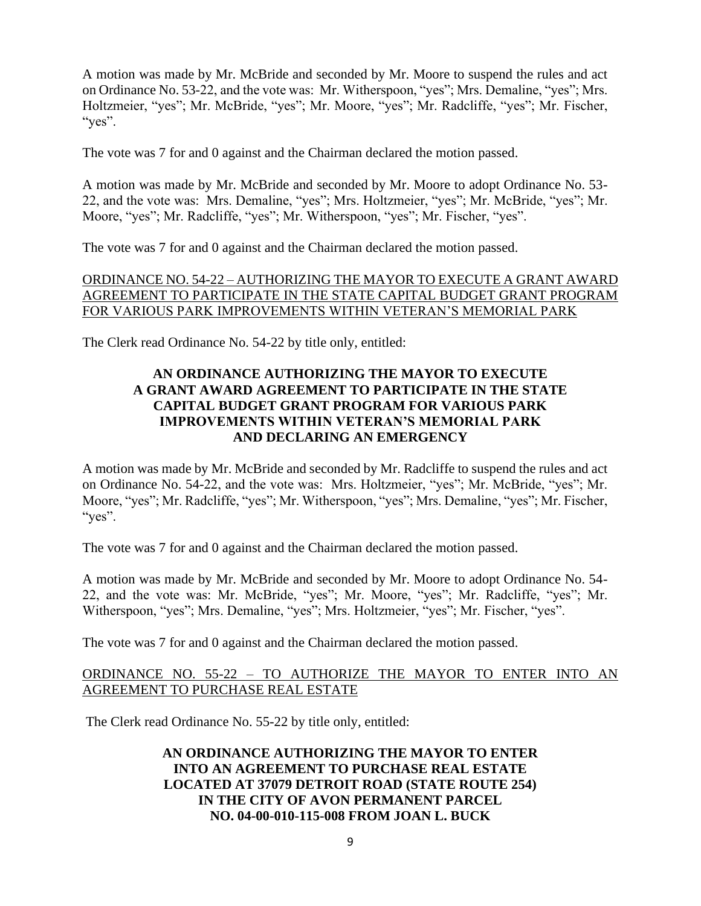A motion was made by Mr. McBride and seconded by Mr. Moore to suspend the rules and act on Ordinance No. 53-22, and the vote was: Mr. Witherspoon, "yes"; Mrs. Demaline, "yes"; Mrs. Holtzmeier, "yes"; Mr. McBride, "yes"; Mr. Moore, "yes"; Mr. Radcliffe, "yes"; Mr. Fischer, "yes".

The vote was 7 for and 0 against and the Chairman declared the motion passed.

A motion was made by Mr. McBride and seconded by Mr. Moore to adopt Ordinance No. 53- 22, and the vote was: Mrs. Demaline, "yes"; Mrs. Holtzmeier, "yes"; Mr. McBride, "yes"; Mr. Moore, "yes"; Mr. Radcliffe, "yes"; Mr. Witherspoon, "yes"; Mr. Fischer, "yes".

The vote was 7 for and 0 against and the Chairman declared the motion passed.

# ORDINANCE NO. 54-22 – AUTHORIZING THE MAYOR TO EXECUTE A GRANT AWARD AGREEMENT TO PARTICIPATE IN THE STATE CAPITAL BUDGET GRANT PROGRAM FOR VARIOUS PARK IMPROVEMENTS WITHIN VETERAN'S MEMORIAL PARK

The Clerk read Ordinance No. 54-22 by title only, entitled:

## **AN ORDINANCE AUTHORIZING THE MAYOR TO EXECUTE A GRANT AWARD AGREEMENT TO PARTICIPATE IN THE STATE CAPITAL BUDGET GRANT PROGRAM FOR VARIOUS PARK IMPROVEMENTS WITHIN VETERAN'S MEMORIAL PARK AND DECLARING AN EMERGENCY**

A motion was made by Mr. McBride and seconded by Mr. Radcliffe to suspend the rules and act on Ordinance No. 54-22, and the vote was: Mrs. Holtzmeier, "yes"; Mr. McBride, "yes"; Mr. Moore, "yes"; Mr. Radcliffe, "yes"; Mr. Witherspoon, "yes"; Mrs. Demaline, "yes"; Mr. Fischer, "yes".

The vote was 7 for and 0 against and the Chairman declared the motion passed.

A motion was made by Mr. McBride and seconded by Mr. Moore to adopt Ordinance No. 54- 22, and the vote was: Mr. McBride, "yes"; Mr. Moore, "yes"; Mr. Radcliffe, "yes"; Mr. Witherspoon, "yes"; Mrs. Demaline, "yes"; Mrs. Holtzmeier, "yes"; Mr. Fischer, "yes".

The vote was 7 for and 0 against and the Chairman declared the motion passed.

## ORDINANCE NO. 55-22 – TO AUTHORIZE THE MAYOR TO ENTER INTO AN AGREEMENT TO PURCHASE REAL ESTATE

The Clerk read Ordinance No. 55-22 by title only, entitled:

# **AN ORDINANCE AUTHORIZING THE MAYOR TO ENTER INTO AN AGREEMENT TO PURCHASE REAL ESTATE LOCATED AT 37079 DETROIT ROAD (STATE ROUTE 254) IN THE CITY OF AVON PERMANENT PARCEL NO. 04-00-010-115-008 FROM JOAN L. BUCK**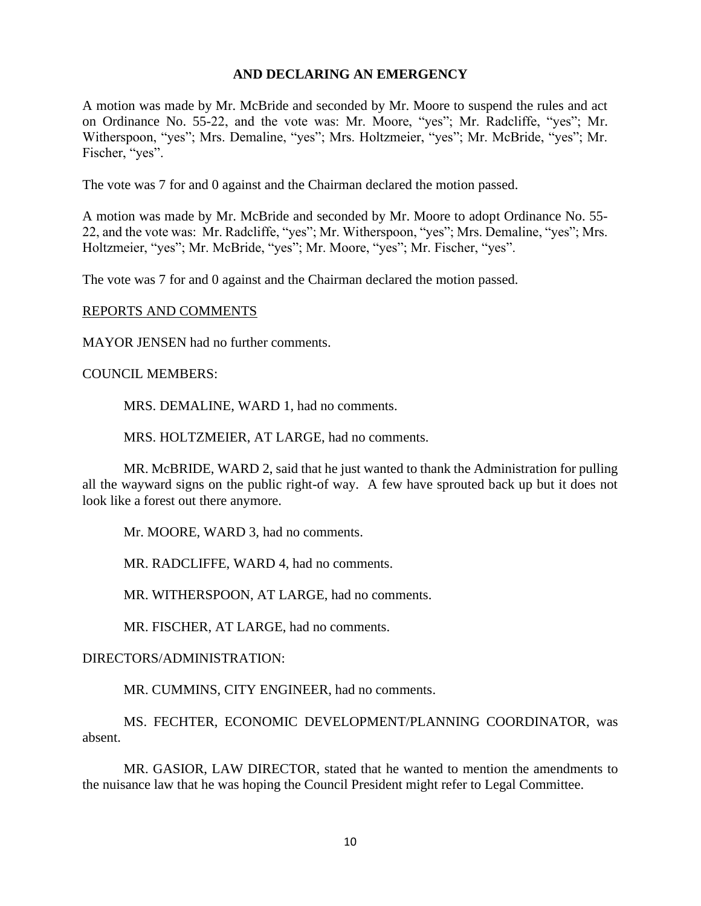#### **AND DECLARING AN EMERGENCY**

A motion was made by Mr. McBride and seconded by Mr. Moore to suspend the rules and act on Ordinance No. 55-22, and the vote was: Mr. Moore, "yes"; Mr. Radcliffe, "yes"; Mr. Witherspoon, "yes"; Mrs. Demaline, "yes"; Mrs. Holtzmeier, "yes"; Mr. McBride, "yes"; Mr. Fischer, "yes".

The vote was 7 for and 0 against and the Chairman declared the motion passed.

A motion was made by Mr. McBride and seconded by Mr. Moore to adopt Ordinance No. 55- 22, and the vote was: Mr. Radcliffe, "yes"; Mr. Witherspoon, "yes"; Mrs. Demaline, "yes"; Mrs. Holtzmeier, "yes"; Mr. McBride, "yes"; Mr. Moore, "yes"; Mr. Fischer, "yes".

The vote was 7 for and 0 against and the Chairman declared the motion passed.

#### REPORTS AND COMMENTS

MAYOR JENSEN had no further comments.

#### COUNCIL MEMBERS:

MRS. DEMALINE, WARD 1, had no comments.

MRS. HOLTZMEIER, AT LARGE, had no comments.

MR. McBRIDE, WARD 2, said that he just wanted to thank the Administration for pulling all the wayward signs on the public right-of way. A few have sprouted back up but it does not look like a forest out there anymore.

Mr. MOORE, WARD 3, had no comments.

MR. RADCLIFFE, WARD 4, had no comments.

MR. WITHERSPOON, AT LARGE, had no comments.

MR. FISCHER, AT LARGE, had no comments.

#### DIRECTORS/ADMINISTRATION:

MR. CUMMINS, CITY ENGINEER, had no comments.

MS. FECHTER, ECONOMIC DEVELOPMENT/PLANNING COORDINATOR, was absent.

MR. GASIOR, LAW DIRECTOR, stated that he wanted to mention the amendments to the nuisance law that he was hoping the Council President might refer to Legal Committee.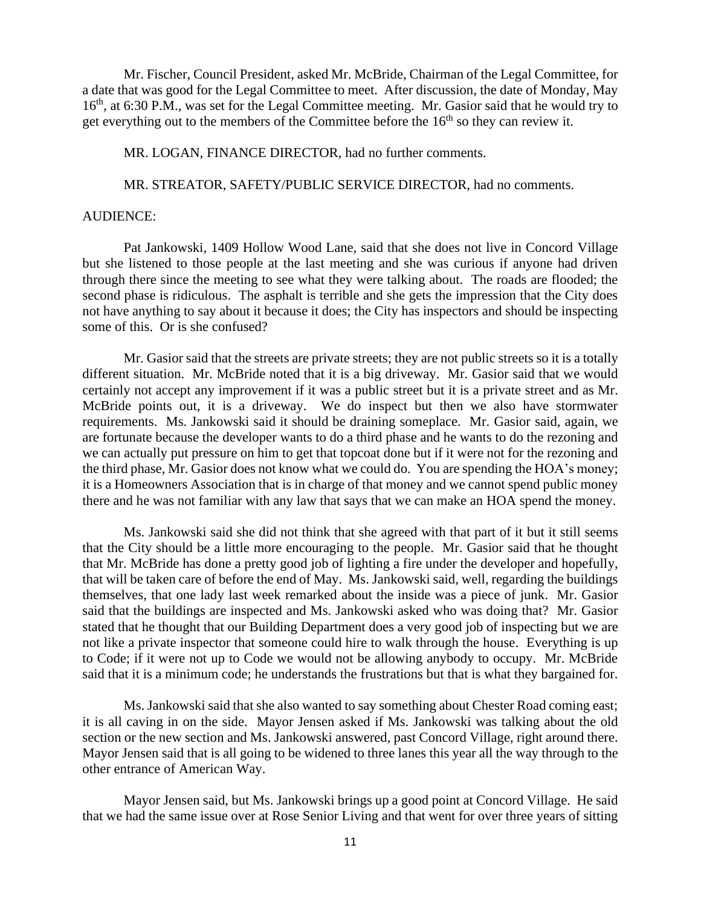Mr. Fischer, Council President, asked Mr. McBride, Chairman of the Legal Committee, for a date that was good for the Legal Committee to meet. After discussion, the date of Monday, May 16<sup>th</sup>, at 6:30 P.M., was set for the Legal Committee meeting. Mr. Gasior said that he would try to get everything out to the members of the Committee before the  $16<sup>th</sup>$  so they can review it.

MR. LOGAN, FINANCE DIRECTOR, had no further comments.

MR. STREATOR, SAFETY/PUBLIC SERVICE DIRECTOR, had no comments.

#### AUDIENCE:

Pat Jankowski, 1409 Hollow Wood Lane, said that she does not live in Concord Village but she listened to those people at the last meeting and she was curious if anyone had driven through there since the meeting to see what they were talking about. The roads are flooded; the second phase is ridiculous. The asphalt is terrible and she gets the impression that the City does not have anything to say about it because it does; the City has inspectors and should be inspecting some of this. Or is she confused?

Mr. Gasior said that the streets are private streets; they are not public streets so it is a totally different situation. Mr. McBride noted that it is a big driveway. Mr. Gasior said that we would certainly not accept any improvement if it was a public street but it is a private street and as Mr. McBride points out, it is a driveway. We do inspect but then we also have stormwater requirements. Ms. Jankowski said it should be draining someplace. Mr. Gasior said, again, we are fortunate because the developer wants to do a third phase and he wants to do the rezoning and we can actually put pressure on him to get that topcoat done but if it were not for the rezoning and the third phase, Mr. Gasior does not know what we could do. You are spending the HOA's money; it is a Homeowners Association that is in charge of that money and we cannot spend public money there and he was not familiar with any law that says that we can make an HOA spend the money.

Ms. Jankowski said she did not think that she agreed with that part of it but it still seems that the City should be a little more encouraging to the people. Mr. Gasior said that he thought that Mr. McBride has done a pretty good job of lighting a fire under the developer and hopefully, that will be taken care of before the end of May. Ms. Jankowski said, well, regarding the buildings themselves, that one lady last week remarked about the inside was a piece of junk. Mr. Gasior said that the buildings are inspected and Ms. Jankowski asked who was doing that? Mr. Gasior stated that he thought that our Building Department does a very good job of inspecting but we are not like a private inspector that someone could hire to walk through the house. Everything is up to Code; if it were not up to Code we would not be allowing anybody to occupy. Mr. McBride said that it is a minimum code; he understands the frustrations but that is what they bargained for.

Ms. Jankowski said that she also wanted to say something about Chester Road coming east; it is all caving in on the side. Mayor Jensen asked if Ms. Jankowski was talking about the old section or the new section and Ms. Jankowski answered, past Concord Village, right around there. Mayor Jensen said that is all going to be widened to three lanes this year all the way through to the other entrance of American Way.

Mayor Jensen said, but Ms. Jankowski brings up a good point at Concord Village. He said that we had the same issue over at Rose Senior Living and that went for over three years of sitting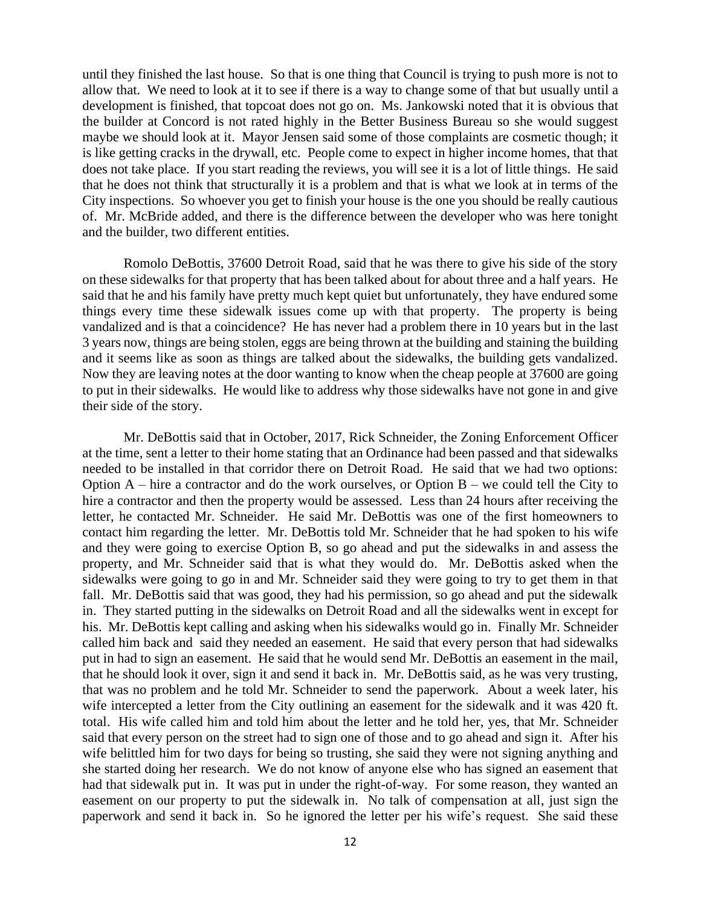until they finished the last house. So that is one thing that Council is trying to push more is not to allow that. We need to look at it to see if there is a way to change some of that but usually until a development is finished, that topcoat does not go on. Ms. Jankowski noted that it is obvious that the builder at Concord is not rated highly in the Better Business Bureau so she would suggest maybe we should look at it. Mayor Jensen said some of those complaints are cosmetic though; it is like getting cracks in the drywall, etc. People come to expect in higher income homes, that that does not take place. If you start reading the reviews, you will see it is a lot of little things. He said that he does not think that structurally it is a problem and that is what we look at in terms of the City inspections. So whoever you get to finish your house is the one you should be really cautious of. Mr. McBride added, and there is the difference between the developer who was here tonight and the builder, two different entities.

Romolo DeBottis, 37600 Detroit Road, said that he was there to give his side of the story on these sidewalks for that property that has been talked about for about three and a half years. He said that he and his family have pretty much kept quiet but unfortunately, they have endured some things every time these sidewalk issues come up with that property. The property is being vandalized and is that a coincidence? He has never had a problem there in 10 years but in the last 3 years now, things are being stolen, eggs are being thrown at the building and staining the building and it seems like as soon as things are talked about the sidewalks, the building gets vandalized. Now they are leaving notes at the door wanting to know when the cheap people at 37600 are going to put in their sidewalks. He would like to address why those sidewalks have not gone in and give their side of the story.

Mr. DeBottis said that in October, 2017, Rick Schneider, the Zoning Enforcement Officer at the time, sent a letter to their home stating that an Ordinance had been passed and that sidewalks needed to be installed in that corridor there on Detroit Road. He said that we had two options: Option  $A$  – hire a contractor and do the work ourselves, or Option  $B$  – we could tell the City to hire a contractor and then the property would be assessed. Less than 24 hours after receiving the letter, he contacted Mr. Schneider. He said Mr. DeBottis was one of the first homeowners to contact him regarding the letter. Mr. DeBottis told Mr. Schneider that he had spoken to his wife and they were going to exercise Option B, so go ahead and put the sidewalks in and assess the property, and Mr. Schneider said that is what they would do. Mr. DeBottis asked when the sidewalks were going to go in and Mr. Schneider said they were going to try to get them in that fall. Mr. DeBottis said that was good, they had his permission, so go ahead and put the sidewalk in. They started putting in the sidewalks on Detroit Road and all the sidewalks went in except for his. Mr. DeBottis kept calling and asking when his sidewalks would go in. Finally Mr. Schneider called him back and said they needed an easement. He said that every person that had sidewalks put in had to sign an easement. He said that he would send Mr. DeBottis an easement in the mail, that he should look it over, sign it and send it back in. Mr. DeBottis said, as he was very trusting, that was no problem and he told Mr. Schneider to send the paperwork. About a week later, his wife intercepted a letter from the City outlining an easement for the sidewalk and it was 420 ft. total. His wife called him and told him about the letter and he told her, yes, that Mr. Schneider said that every person on the street had to sign one of those and to go ahead and sign it. After his wife belittled him for two days for being so trusting, she said they were not signing anything and she started doing her research. We do not know of anyone else who has signed an easement that had that sidewalk put in. It was put in under the right-of-way. For some reason, they wanted an easement on our property to put the sidewalk in. No talk of compensation at all, just sign the paperwork and send it back in. So he ignored the letter per his wife's request. She said these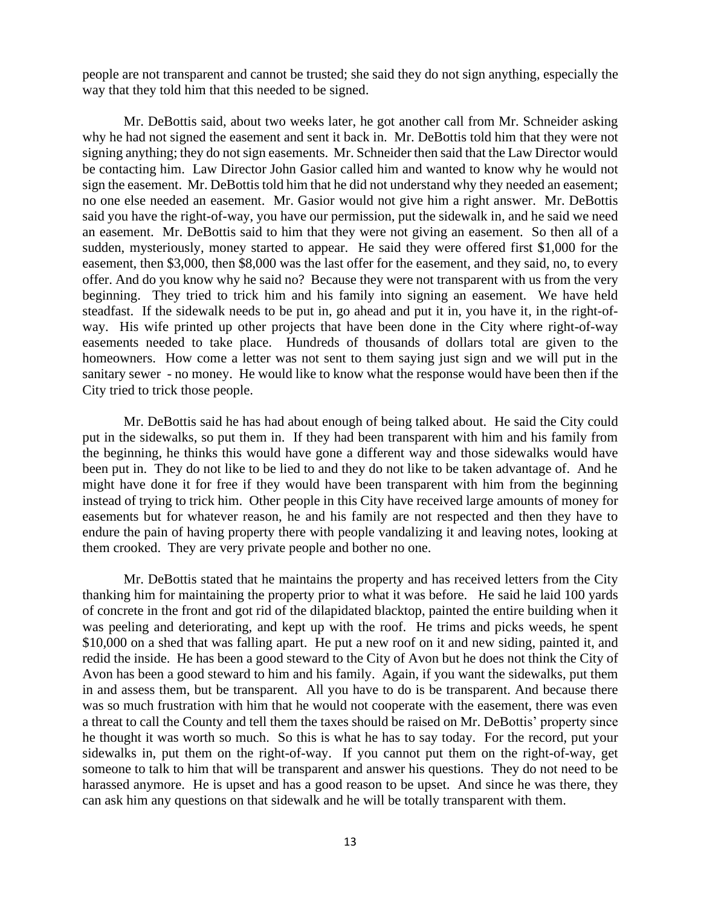people are not transparent and cannot be trusted; she said they do not sign anything, especially the way that they told him that this needed to be signed.

Mr. DeBottis said, about two weeks later, he got another call from Mr. Schneider asking why he had not signed the easement and sent it back in. Mr. DeBottis told him that they were not signing anything; they do not sign easements. Mr. Schneider then said that the Law Director would be contacting him. Law Director John Gasior called him and wanted to know why he would not sign the easement. Mr. DeBottis told him that he did not understand why they needed an easement; no one else needed an easement. Mr. Gasior would not give him a right answer. Mr. DeBottis said you have the right-of-way, you have our permission, put the sidewalk in, and he said we need an easement. Mr. DeBottis said to him that they were not giving an easement. So then all of a sudden, mysteriously, money started to appear. He said they were offered first \$1,000 for the easement, then \$3,000, then \$8,000 was the last offer for the easement, and they said, no, to every offer. And do you know why he said no? Because they were not transparent with us from the very beginning. They tried to trick him and his family into signing an easement. We have held steadfast. If the sidewalk needs to be put in, go ahead and put it in, you have it, in the right-ofway. His wife printed up other projects that have been done in the City where right-of-way easements needed to take place. Hundreds of thousands of dollars total are given to the homeowners. How come a letter was not sent to them saying just sign and we will put in the sanitary sewer - no money. He would like to know what the response would have been then if the City tried to trick those people.

Mr. DeBottis said he has had about enough of being talked about. He said the City could put in the sidewalks, so put them in. If they had been transparent with him and his family from the beginning, he thinks this would have gone a different way and those sidewalks would have been put in. They do not like to be lied to and they do not like to be taken advantage of. And he might have done it for free if they would have been transparent with him from the beginning instead of trying to trick him. Other people in this City have received large amounts of money for easements but for whatever reason, he and his family are not respected and then they have to endure the pain of having property there with people vandalizing it and leaving notes, looking at them crooked. They are very private people and bother no one.

Mr. DeBottis stated that he maintains the property and has received letters from the City thanking him for maintaining the property prior to what it was before. He said he laid 100 yards of concrete in the front and got rid of the dilapidated blacktop, painted the entire building when it was peeling and deteriorating, and kept up with the roof. He trims and picks weeds, he spent \$10,000 on a shed that was falling apart. He put a new roof on it and new siding, painted it, and redid the inside. He has been a good steward to the City of Avon but he does not think the City of Avon has been a good steward to him and his family. Again, if you want the sidewalks, put them in and assess them, but be transparent. All you have to do is be transparent. And because there was so much frustration with him that he would not cooperate with the easement, there was even a threat to call the County and tell them the taxes should be raised on Mr. DeBottis' property since he thought it was worth so much. So this is what he has to say today. For the record, put your sidewalks in, put them on the right-of-way. If you cannot put them on the right-of-way, get someone to talk to him that will be transparent and answer his questions. They do not need to be harassed anymore. He is upset and has a good reason to be upset. And since he was there, they can ask him any questions on that sidewalk and he will be totally transparent with them.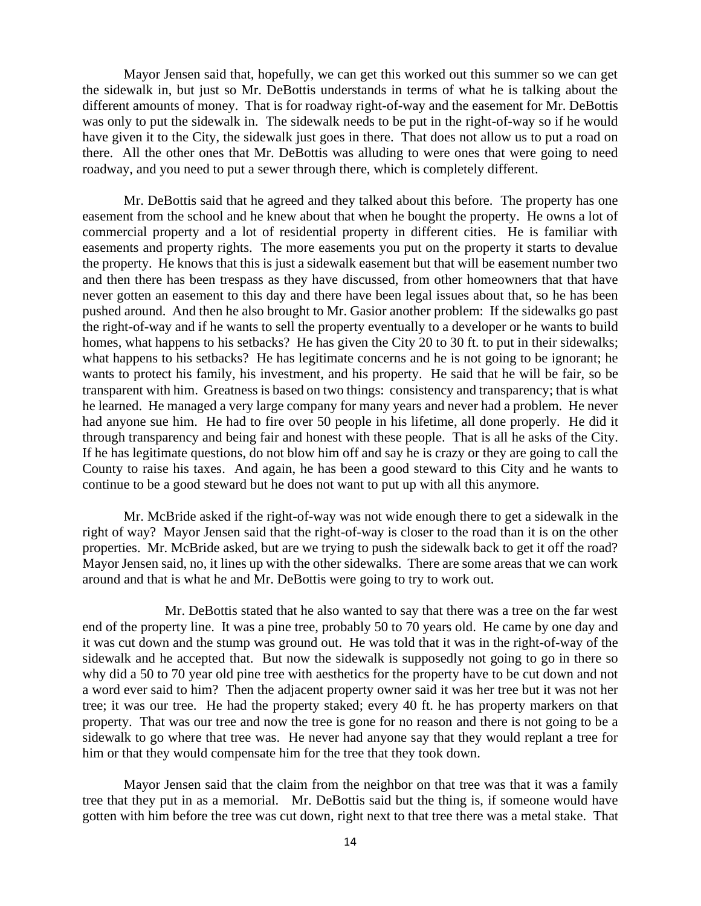Mayor Jensen said that, hopefully, we can get this worked out this summer so we can get the sidewalk in, but just so Mr. DeBottis understands in terms of what he is talking about the different amounts of money. That is for roadway right-of-way and the easement for Mr. DeBottis was only to put the sidewalk in. The sidewalk needs to be put in the right-of-way so if he would have given it to the City, the sidewalk just goes in there. That does not allow us to put a road on there. All the other ones that Mr. DeBottis was alluding to were ones that were going to need roadway, and you need to put a sewer through there, which is completely different.

Mr. DeBottis said that he agreed and they talked about this before. The property has one easement from the school and he knew about that when he bought the property. He owns a lot of commercial property and a lot of residential property in different cities. He is familiar with easements and property rights. The more easements you put on the property it starts to devalue the property. He knows that this is just a sidewalk easement but that will be easement number two and then there has been trespass as they have discussed, from other homeowners that that have never gotten an easement to this day and there have been legal issues about that, so he has been pushed around. And then he also brought to Mr. Gasior another problem: If the sidewalks go past the right-of-way and if he wants to sell the property eventually to a developer or he wants to build homes, what happens to his setbacks? He has given the City 20 to 30 ft. to put in their sidewalks; what happens to his setbacks? He has legitimate concerns and he is not going to be ignorant; he wants to protect his family, his investment, and his property. He said that he will be fair, so be transparent with him. Greatness is based on two things: consistency and transparency; that is what he learned. He managed a very large company for many years and never had a problem. He never had anyone sue him. He had to fire over 50 people in his lifetime, all done properly. He did it through transparency and being fair and honest with these people. That is all he asks of the City. If he has legitimate questions, do not blow him off and say he is crazy or they are going to call the County to raise his taxes. And again, he has been a good steward to this City and he wants to continue to be a good steward but he does not want to put up with all this anymore.

Mr. McBride asked if the right-of-way was not wide enough there to get a sidewalk in the right of way? Mayor Jensen said that the right-of-way is closer to the road than it is on the other properties. Mr. McBride asked, but are we trying to push the sidewalk back to get it off the road? Mayor Jensen said, no, it lines up with the other sidewalks. There are some areas that we can work around and that is what he and Mr. DeBottis were going to try to work out.

Mr. DeBottis stated that he also wanted to say that there was a tree on the far west end of the property line. It was a pine tree, probably 50 to 70 years old. He came by one day and it was cut down and the stump was ground out. He was told that it was in the right-of-way of the sidewalk and he accepted that. But now the sidewalk is supposedly not going to go in there so why did a 50 to 70 year old pine tree with aesthetics for the property have to be cut down and not a word ever said to him? Then the adjacent property owner said it was her tree but it was not her tree; it was our tree. He had the property staked; every 40 ft. he has property markers on that property. That was our tree and now the tree is gone for no reason and there is not going to be a sidewalk to go where that tree was. He never had anyone say that they would replant a tree for him or that they would compensate him for the tree that they took down.

Mayor Jensen said that the claim from the neighbor on that tree was that it was a family tree that they put in as a memorial. Mr. DeBottis said but the thing is, if someone would have gotten with him before the tree was cut down, right next to that tree there was a metal stake. That